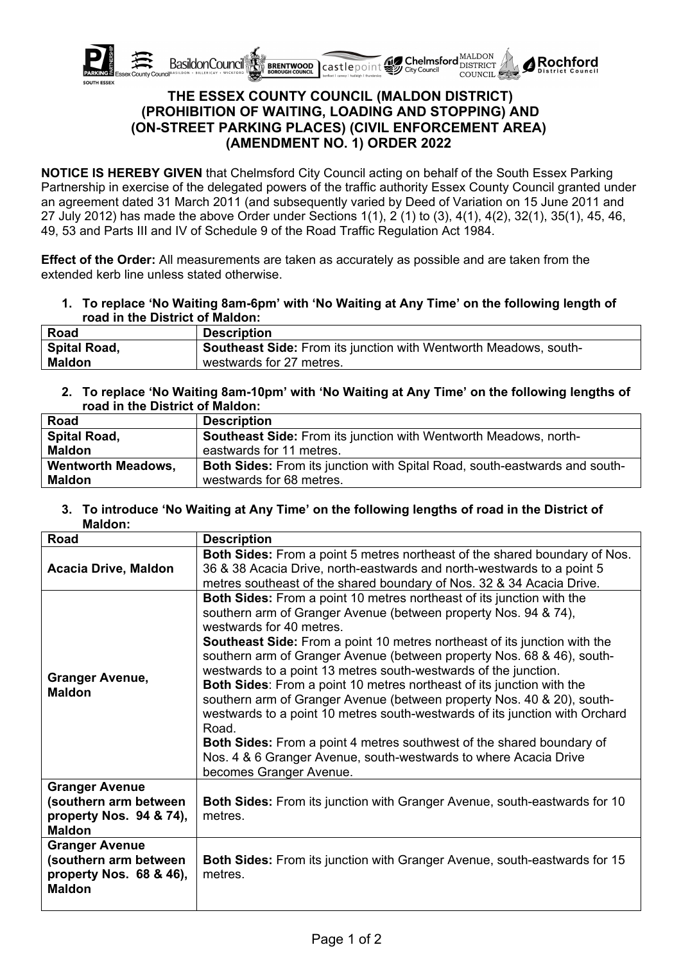

# **THE ESSEX COUNTY COUNCIL (MALDON DISTRICT) (PROHIBITION OF WAITING, LOADING AND STOPPING) AND (ON-STREET PARKING PLACES) (CIVIL ENFORCEMENT AREA) (AMENDMENT NO. 1) ORDER 2022**

**NOTICE IS HEREBY GIVEN** that Chelmsford City Council acting on behalf of the South Essex Parking Partnership in exercise of the delegated powers of the traffic authority Essex County Council granted under an agreement dated 31 March 2011 (and subsequently varied by Deed of Variation on 15 June 2011 and 27 July 2012) has made the above Order under Sections 1(1), 2 (1) to (3), 4(1), 4(2), 32(1), 35(1), 45, 46, 49, 53 and Parts III and IV of Schedule 9 of the Road Traffic Regulation Act 1984.

**Effect of the Order:** All measurements are taken as accurately as possible and are taken from the extended kerb line unless stated otherwise.

**1. To replace 'No Waiting 8am-6pm' with 'No Waiting at Any Time' on the following length of road in the District of Maldon:**

| Road          | <b>Description</b>                                                      |
|---------------|-------------------------------------------------------------------------|
| Spital Road,  | <b>Southeast Side: From its junction with Wentworth Meadows, south-</b> |
| <b>Maldon</b> | westwards for 27 metres.                                                |

**2. To replace 'No Waiting 8am-10pm' with 'No Waiting at Any Time' on the following lengths of road in the District of Maldon:**

| Road                      | <b>Description</b>                                                                |
|---------------------------|-----------------------------------------------------------------------------------|
| <b>Spital Road,</b>       | Southeast Side: From its junction with Wentworth Meadows, north-                  |
| <b>Maldon</b>             | eastwards for 11 metres.                                                          |
| <b>Wentworth Meadows,</b> | <b>Both Sides:</b> From its junction with Spital Road, south-eastwards and south- |
| <b>Maldon</b>             | westwards for 68 metres.                                                          |

### **3. To introduce 'No Waiting at Any Time' on the following lengths of road in the District of Maldon:**

| Road                                                                                       | <b>Description</b>                                                                                                                                                                                                                                                                                                                                                                                                                                                                                                                                                                                                                                                                                                                                                                                                                            |
|--------------------------------------------------------------------------------------------|-----------------------------------------------------------------------------------------------------------------------------------------------------------------------------------------------------------------------------------------------------------------------------------------------------------------------------------------------------------------------------------------------------------------------------------------------------------------------------------------------------------------------------------------------------------------------------------------------------------------------------------------------------------------------------------------------------------------------------------------------------------------------------------------------------------------------------------------------|
| <b>Acacia Drive, Maldon</b>                                                                | <b>Both Sides:</b> From a point 5 metres northeast of the shared boundary of Nos.<br>36 & 38 Acacia Drive, north-eastwards and north-westwards to a point 5<br>metres southeast of the shared boundary of Nos. 32 & 34 Acacia Drive.                                                                                                                                                                                                                                                                                                                                                                                                                                                                                                                                                                                                          |
| <b>Granger Avenue,</b><br><b>Maldon</b>                                                    | <b>Both Sides:</b> From a point 10 metres northeast of its junction with the<br>southern arm of Granger Avenue (between property Nos. 94 & 74),<br>westwards for 40 metres.<br><b>Southeast Side:</b> From a point 10 metres northeast of its junction with the<br>southern arm of Granger Avenue (between property Nos. 68 & 46), south-<br>westwards to a point 13 metres south-westwards of the junction.<br><b>Both Sides:</b> From a point 10 metres northeast of its junction with the<br>southern arm of Granger Avenue (between property Nos. 40 & 20), south-<br>westwards to a point 10 metres south-westwards of its junction with Orchard<br>Road.<br><b>Both Sides:</b> From a point 4 metres southwest of the shared boundary of<br>Nos. 4 & 6 Granger Avenue, south-westwards to where Acacia Drive<br>becomes Granger Avenue. |
| <b>Granger Avenue</b><br>(southern arm between<br>property Nos. 94 & 74),<br><b>Maldon</b> | <b>Both Sides:</b> From its junction with Granger Avenue, south-eastwards for 10<br>metres.                                                                                                                                                                                                                                                                                                                                                                                                                                                                                                                                                                                                                                                                                                                                                   |
| <b>Granger Avenue</b><br>(southern arm between<br>property Nos. 68 & 46),<br><b>Maldon</b> | <b>Both Sides:</b> From its junction with Granger Avenue, south-eastwards for 15<br>metres.                                                                                                                                                                                                                                                                                                                                                                                                                                                                                                                                                                                                                                                                                                                                                   |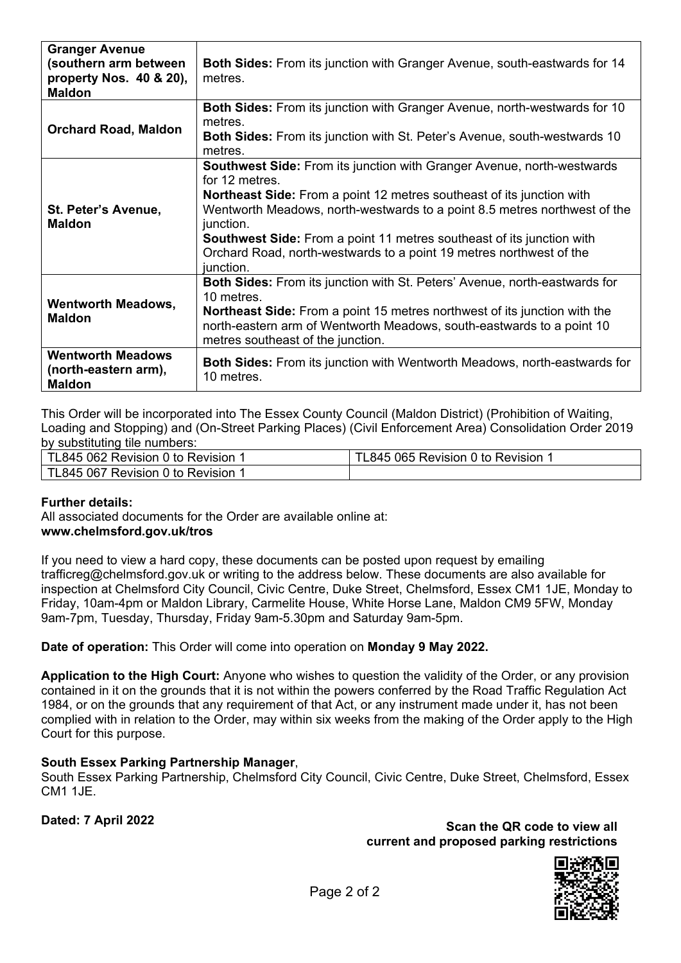| <b>Granger Avenue</b><br>(southern arm between<br>property Nos. 40 & 20),<br><b>Maldon</b> | <b>Both Sides:</b> From its junction with Granger Avenue, south-eastwards for 14<br>metres.                                                                                                                                                                                                                                                                                                                                                   |
|--------------------------------------------------------------------------------------------|-----------------------------------------------------------------------------------------------------------------------------------------------------------------------------------------------------------------------------------------------------------------------------------------------------------------------------------------------------------------------------------------------------------------------------------------------|
| <b>Orchard Road, Maldon</b>                                                                | <b>Both Sides:</b> From its junction with Granger Avenue, north-westwards for 10<br>metres.<br><b>Both Sides:</b> From its junction with St. Peter's Avenue, south-westwards 10<br>metres.                                                                                                                                                                                                                                                    |
| St. Peter's Avenue,<br><b>Maldon</b>                                                       | <b>Southwest Side: From its junction with Granger Avenue, north-westwards</b><br>for 12 metres.<br><b>Northeast Side:</b> From a point 12 metres southeast of its junction with<br>Wentworth Meadows, north-westwards to a point 8.5 metres northwest of the<br>junction.<br><b>Southwest Side:</b> From a point 11 metres southeast of its junction with<br>Orchard Road, north-westwards to a point 19 metres northwest of the<br>junction. |
| <b>Wentworth Meadows,</b><br><b>Maldon</b>                                                 | <b>Both Sides:</b> From its junction with St. Peters' Avenue, north-eastwards for<br>10 metres.<br><b>Northeast Side:</b> From a point 15 metres northwest of its junction with the<br>north-eastern arm of Wentworth Meadows, south-eastwards to a point 10<br>metres southeast of the junction.                                                                                                                                             |
| <b>Wentworth Meadows</b><br>(north-eastern arm),<br><b>Maldon</b>                          | <b>Both Sides:</b> From its junction with Wentworth Meadows, north-eastwards for<br>10 metres.                                                                                                                                                                                                                                                                                                                                                |

This Order will be incorporated into The Essex County Council (Maldon District) (Prohibition of Waiting, Loading and Stopping) and (On-Street Parking Places) (Civil Enforcement Area) Consolidation Order 2019 by substituting tile numbers:

| TL845 062 Revision 0 to Revision        | TL845 065 Revision 0 to Revision |
|-----------------------------------------|----------------------------------|
| <b>FL845 067 Revision 0 to Revision</b> |                                  |

### **Further details:**

All associated documents for the Order are available online at: **www.chelmsford.gov.uk/tros** 

If you need to view a hard copy, these documents can be posted upon request by emailing trafficreg@chelmsford.gov.uk or writing to the address below. These documents are also available for inspection at Chelmsford City Council, Civic Centre, Duke Street, Chelmsford, Essex CM1 1JE, Monday to Friday, 10am-4pm or Maldon Library, Carmelite House, White Horse Lane, Maldon CM9 5FW, Monday 9am-7pm, Tuesday, Thursday, Friday 9am-5.30pm and Saturday 9am-5pm.

### **Date of operation:** This Order will come into operation on **Monday 9 May 2022.**

**Application to the High Court:** Anyone who wishes to question the validity of the Order, or any provision contained in it on the grounds that it is not within the powers conferred by the Road Traffic Regulation Act 1984, or on the grounds that any requirement of that Act, or any instrument made under it, has not been complied with in relation to the Order, may within six weeks from the making of the Order apply to the High Court for this purpose.

### **South Essex Parking Partnership Manager**,

South Essex Parking Partnership, Chelmsford City Council, Civic Centre, Duke Street, Chelmsford, Essex CM1 1JE.

**Dated: 7 April 2022 Scan the QR code to view all current and proposed parking restrictions**